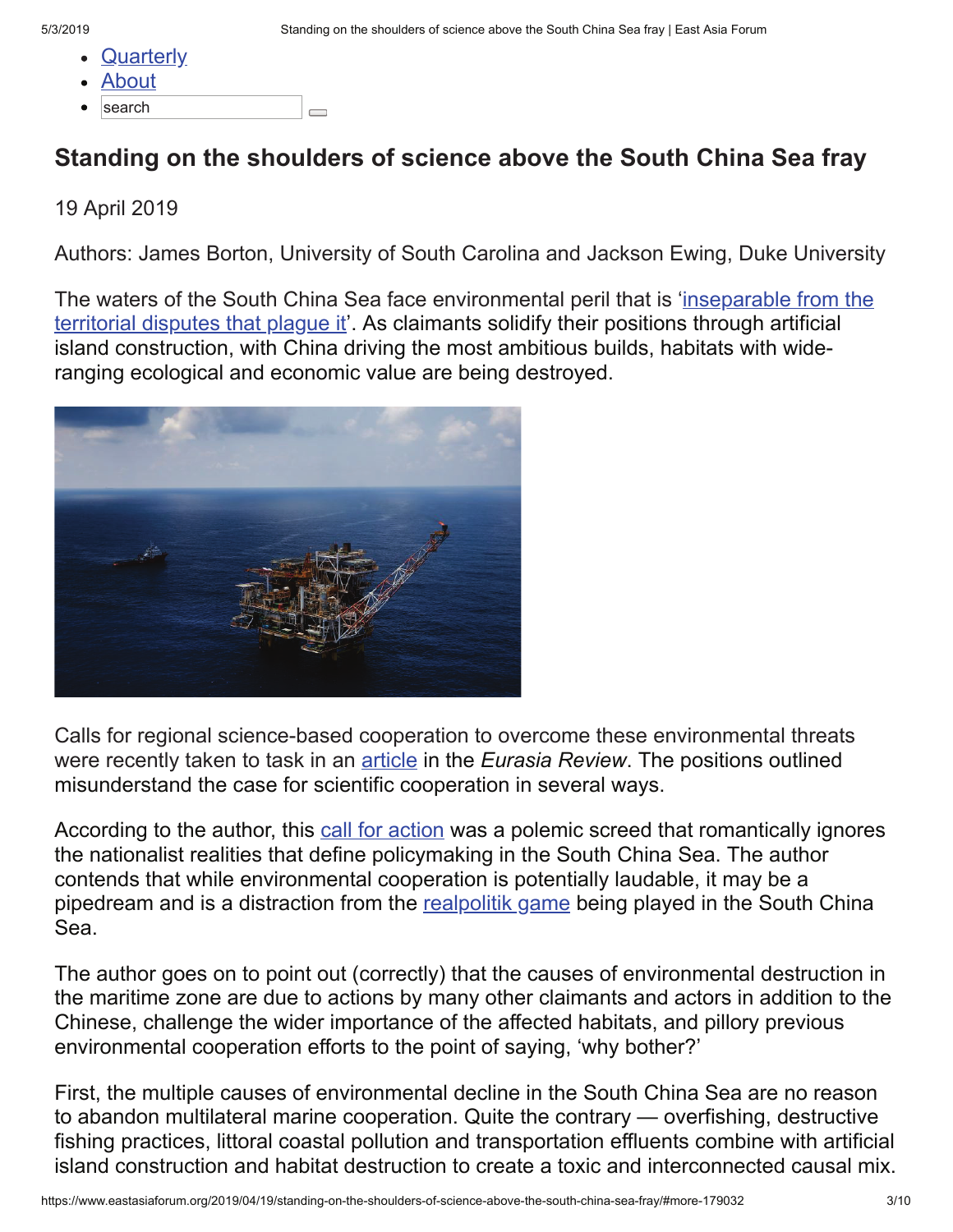- 5/3/2019 Standing on the shoulders of science above the South China Sea fray | East Asia Forum
	- **Quarterly**
	- About
	- search  $\overline{\phantom{0}}$

## **Standing on the shoulders of science above the South China Sea fray**

## 19 April 2019

Authors: James Borton, University of South Carolina and Jackson Ewing, Duke University

The waters of the South China Sea face environmental peril that is 'inseparable from the territorial disputes that plague it'. As claimants solidify their positions through artificial island construction, with China driving the most ambitious builds, habitats with wideranging ecological and economic value are being destroyed.



Calls for regional science-based cooperation to overcome these environmental threats were recently taken to task in an article in the *Eurasia Review*. The positions outlined misunderstand the case for scientific cooperation in several ways.

According to the author, this call for action was a polemic screed that romantically ignores the nationalist realities that define policymaking in the South China Sea. The author contends that while environmental cooperation is potentially laudable, it may be a pipedream and is a distraction from the realpolitik game being played in the South China Sea.

The author goes on to point out (correctly) that the causes of environmental destruction in the maritime zone are due to actions by many other claimants and actors in addition to the Chinese, challenge the wider importance of the affected habitats, and pillory previous environmental cooperation efforts to the point of saying, 'why bother?'

First, the multiple causes of environmental decline in the South China Sea are no reason to abandon multilateral marine cooperation. Quite the contrary — overfishing, destructive fishing practices, littoral coastal pollution and transportation effluents combine with artificial island construction and habitat destruction to create a toxic and interconnected causal mix.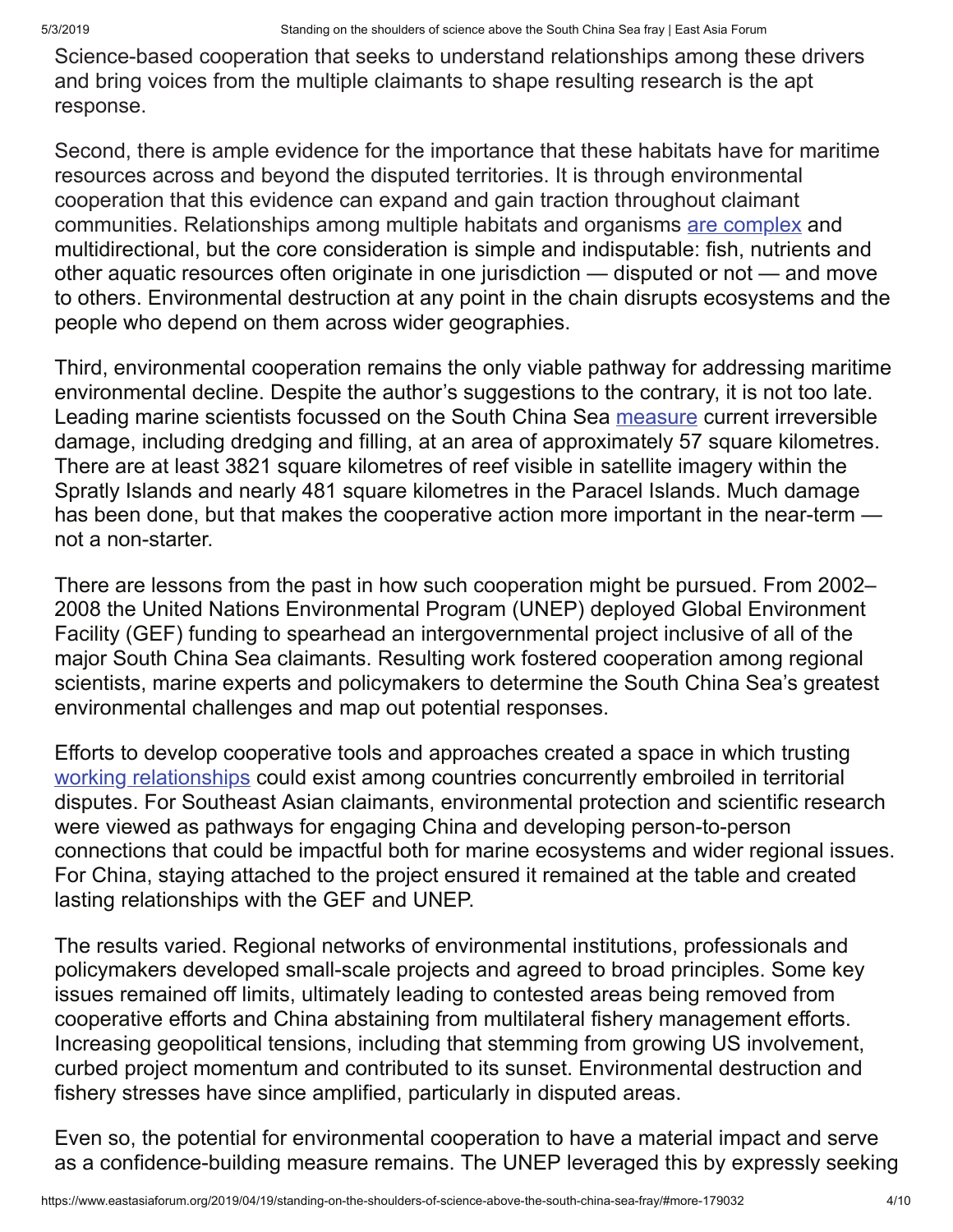Science-based cooperation that seeks to understand relationships among these drivers and bring voices from the multiple claimants to shape resulting research is the apt response.

Second, there is ample evidence for the importance that these habitats have for maritime resources across and beyond the disputed territories. It is through environmental cooperation that this evidence can expand and gain traction throughout claimant communities. Relationships among multiple habitats and organisms are complex and multidirectional, but the core consideration is simple and indisputable: fish, nutrients and other aquatic resources often originate in one jurisdiction — disputed or not — and move to others. Environmental destruction at any point in the chain disrupts ecosystems and the people who depend on them across wider geographies.

Third, environmental cooperation remains the only viable pathway for addressing maritime environmental decline. Despite the author's suggestions to the contrary, it is not too late. Leading marine scientists focussed on the South China Sea measure current irreversible damage, including dredging and filling, at an area of approximately 57 square kilometres. There are at least 3821 square kilometres of reef visible in satellite imagery within the Spratly Islands and nearly 481 square kilometres in the Paracel Islands. Much damage has been done, but that makes the cooperative action more important in the near-term not a non-starter.

There are lessons from the past in how such cooperation might be pursued. From 2002– 2008 the United Nations Environmental Program (UNEP) deployed Global Environment Facility (GEF) funding to spearhead an intergovernmental project inclusive of all of the major South China Sea claimants. Resulting work fostered cooperation among regional scientists, marine experts and policymakers to determine the South China Sea's greatest environmental challenges and map out potential responses.

Efforts to develop cooperative tools and approaches created a space in which trusting working relationships could exist among countries concurrently embroiled in territorial disputes. For Southeast Asian claimants, environmental protection and scientific research were viewed as pathways for engaging China and developing person-to-person connections that could be impactful both for marine ecosystems and wider regional issues. For China, staying attached to the project ensured it remained at the table and created lasting relationships with the GEF and UNEP.

The results varied. Regional networks of environmental institutions, professionals and policymakers developed small-scale projects and agreed to broad principles. Some key issues remained off limits, ultimately leading to contested areas being removed from cooperative efforts and China abstaining from multilateral fishery management efforts. Increasing geopolitical tensions, including that stemming from growing US involvement, curbed project momentum and contributed to its sunset. Environmental destruction and fishery stresses have since amplified, particularly in disputed areas.

Even so, the potential for environmental cooperation to have a material impact and serve as a confidence-building measure remains. The UNEP leveraged this by expressly seeking